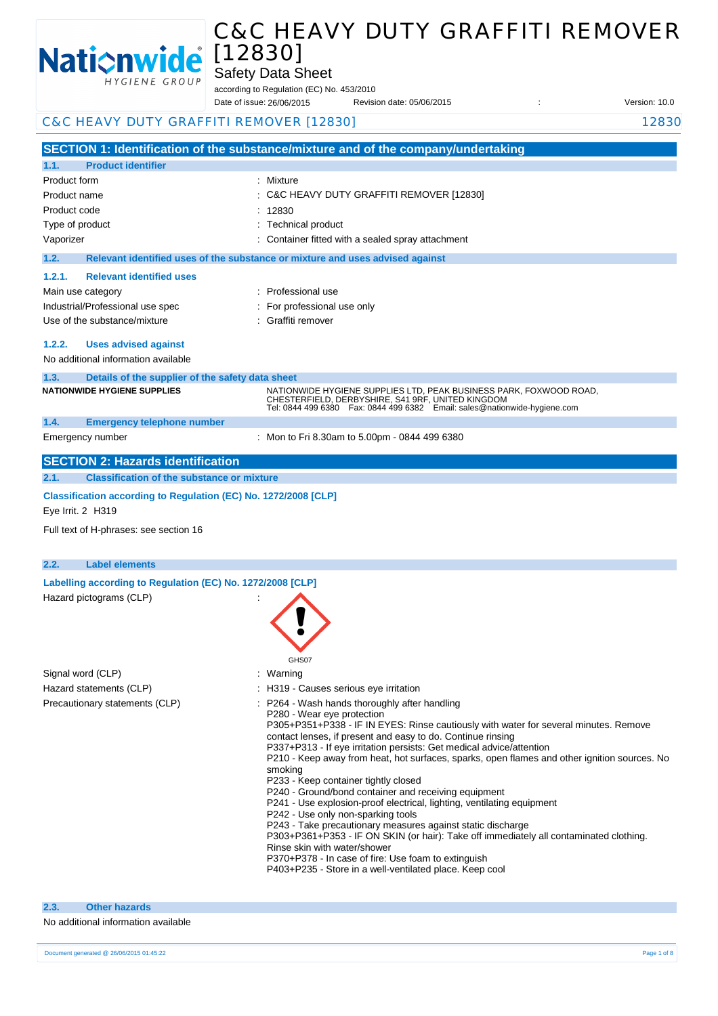

Safety Data Sheet

according to Regulation (EC) No. 453/2010

Date of issue: Revision date: 05/06/2015 : Version: 10.0 Date of issue: 26/06/2015

|                         | C&C HEAVY DUTY GRAFFITI REMOVER [12830]                                              |                                                                                                                                                                                                                                                                                                                                                                                                                                                                                                                                                                                               | 12830 |
|-------------------------|--------------------------------------------------------------------------------------|-----------------------------------------------------------------------------------------------------------------------------------------------------------------------------------------------------------------------------------------------------------------------------------------------------------------------------------------------------------------------------------------------------------------------------------------------------------------------------------------------------------------------------------------------------------------------------------------------|-------|
|                         |                                                                                      |                                                                                                                                                                                                                                                                                                                                                                                                                                                                                                                                                                                               |       |
|                         |                                                                                      | SECTION 1: Identification of the substance/mixture and of the company/undertaking                                                                                                                                                                                                                                                                                                                                                                                                                                                                                                             |       |
| 1.1.                    | <b>Product identifier</b>                                                            |                                                                                                                                                                                                                                                                                                                                                                                                                                                                                                                                                                                               |       |
| Product form            |                                                                                      | : Mixture                                                                                                                                                                                                                                                                                                                                                                                                                                                                                                                                                                                     |       |
| Product name            |                                                                                      | : C&C HEAVY DUTY GRAFFITI REMOVER [12830]                                                                                                                                                                                                                                                                                                                                                                                                                                                                                                                                                     |       |
| Product code            |                                                                                      | : 12830                                                                                                                                                                                                                                                                                                                                                                                                                                                                                                                                                                                       |       |
| Type of product         |                                                                                      | : Technical product                                                                                                                                                                                                                                                                                                                                                                                                                                                                                                                                                                           |       |
| Vaporizer               |                                                                                      | Container fitted with a sealed spray attachment                                                                                                                                                                                                                                                                                                                                                                                                                                                                                                                                               |       |
| 1.2.                    |                                                                                      | Relevant identified uses of the substance or mixture and uses advised against                                                                                                                                                                                                                                                                                                                                                                                                                                                                                                                 |       |
| 1.2.1.                  | <b>Relevant identified uses</b>                                                      |                                                                                                                                                                                                                                                                                                                                                                                                                                                                                                                                                                                               |       |
|                         | Main use category                                                                    | : Professional use                                                                                                                                                                                                                                                                                                                                                                                                                                                                                                                                                                            |       |
|                         | Industrial/Professional use spec                                                     | : For professional use only                                                                                                                                                                                                                                                                                                                                                                                                                                                                                                                                                                   |       |
|                         | Use of the substance/mixture                                                         | : Graffiti remover                                                                                                                                                                                                                                                                                                                                                                                                                                                                                                                                                                            |       |
| 1.2.2.                  | <b>Uses advised against</b>                                                          |                                                                                                                                                                                                                                                                                                                                                                                                                                                                                                                                                                                               |       |
|                         | No additional information available                                                  |                                                                                                                                                                                                                                                                                                                                                                                                                                                                                                                                                                                               |       |
| 1.3.                    | Details of the supplier of the safety data sheet                                     |                                                                                                                                                                                                                                                                                                                                                                                                                                                                                                                                                                                               |       |
|                         | <b>NATIONWIDE HYGIENE SUPPLIES</b>                                                   | NATIONWIDE HYGIENE SUPPLIES LTD, PEAK BUSINESS PARK, FOXWOOD ROAD,                                                                                                                                                                                                                                                                                                                                                                                                                                                                                                                            |       |
|                         |                                                                                      | CHESTERFIELD, DERBYSHIRE, S41 9RF, UNITED KINGDOM<br>Tel: 0844 499 6380  Fax: 0844 499 6382  Email: sales@nationwide-hygiene.com                                                                                                                                                                                                                                                                                                                                                                                                                                                              |       |
| 1.4.                    | <b>Emergency telephone number</b>                                                    |                                                                                                                                                                                                                                                                                                                                                                                                                                                                                                                                                                                               |       |
|                         | Emergency number                                                                     | : Mon to Fri 8.30am to 5.00pm - 0844 499 6380                                                                                                                                                                                                                                                                                                                                                                                                                                                                                                                                                 |       |
|                         |                                                                                      |                                                                                                                                                                                                                                                                                                                                                                                                                                                                                                                                                                                               |       |
|                         | <b>SECTION 2: Hazards identification</b>                                             |                                                                                                                                                                                                                                                                                                                                                                                                                                                                                                                                                                                               |       |
| 2.1.                    | <b>Classification of the substance or mixture</b>                                    |                                                                                                                                                                                                                                                                                                                                                                                                                                                                                                                                                                                               |       |
|                         | Classification according to Regulation (EC) No. 1272/2008 [CLP]<br>Eye Irrit. 2 H319 |                                                                                                                                                                                                                                                                                                                                                                                                                                                                                                                                                                                               |       |
|                         | Full text of H-phrases: see section 16                                               |                                                                                                                                                                                                                                                                                                                                                                                                                                                                                                                                                                                               |       |
| 2.2.                    | <b>Label elements</b>                                                                |                                                                                                                                                                                                                                                                                                                                                                                                                                                                                                                                                                                               |       |
|                         | Labelling according to Regulation (EC) No. 1272/2008 [CLP]                           |                                                                                                                                                                                                                                                                                                                                                                                                                                                                                                                                                                                               |       |
|                         | Hazard pictograms (CLP)                                                              |                                                                                                                                                                                                                                                                                                                                                                                                                                                                                                                                                                                               |       |
|                         |                                                                                      | GHS07                                                                                                                                                                                                                                                                                                                                                                                                                                                                                                                                                                                         |       |
|                         | Signal word (CLP)                                                                    | : Warning                                                                                                                                                                                                                                                                                                                                                                                                                                                                                                                                                                                     |       |
| Hazard statements (CLP) |                                                                                      | : H319 - Causes serious eye irritation                                                                                                                                                                                                                                                                                                                                                                                                                                                                                                                                                        |       |
|                         | Precautionary statements (CLP)                                                       | : P264 - Wash hands thoroughly after handling<br>P280 - Wear eye protection<br>P305+P351+P338 - IF IN EYES: Rinse cautiously with water for several minutes. Remove<br>contact lenses, if present and easy to do. Continue rinsing<br>P337+P313 - If eye irritation persists: Get medical advice/attention<br>P210 - Keep away from heat, hot surfaces, sparks, open flames and other ignition sources. No<br>smoking<br>P233 - Keep container tightly closed<br>P240 - Ground/bond container and receiving equipment<br>P241 - Use explosion-proof electrical lighting ventilating equipment |       |

- P241 Use explosion-proof electrical, lighting, ventilating equipment
	- P242 Use only non-sparking tools
	- P243 Take precautionary measures against static discharge
	- P303+P361+P353 IF ON SKIN (or hair): Take off immediately all contaminated clothing.
	- Rinse skin with water/shower
	- P370+P378 In case of fire: Use foam to extinguish
	- P403+P235 Store in a well-ventilated place. Keep cool

# **2.3. Other hazards**

### No additional information available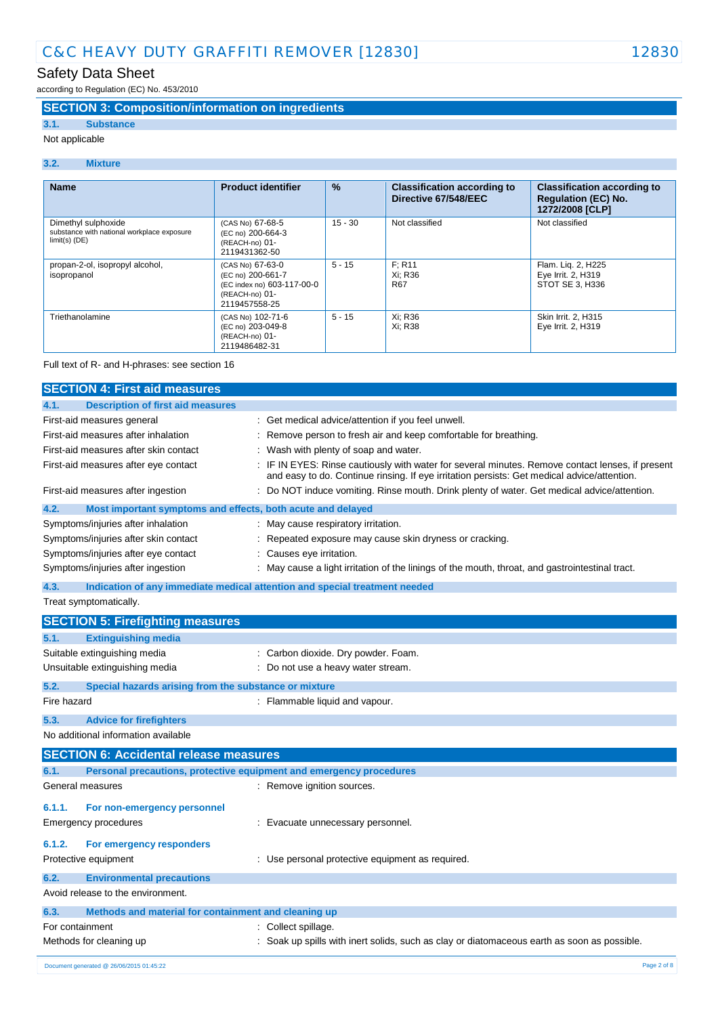according to Regulation (EC) No. 453/2010

# **SECTION 3: Composition/information on ingredients**

# **3.1. Substance**

Not applicable

#### **3.2. Mixture**

| <b>Name</b>                                                                          | <b>Product identifier</b>                                                                              | $\frac{9}{6}$ | <b>Classification according to</b><br>Directive 67/548/EEC | <b>Classification according to</b><br><b>Regulation (EC) No.</b><br>1272/2008 [CLP] |
|--------------------------------------------------------------------------------------|--------------------------------------------------------------------------------------------------------|---------------|------------------------------------------------------------|-------------------------------------------------------------------------------------|
| Dimethyl sulphoxide<br>substance with national workplace exposure<br>$limit(s)$ (DE) | (CAS No) 67-68-5<br>(EC no) 200-664-3<br>(REACH-no) 01-<br>2119431362-50                               | $15 - 30$     | Not classified                                             | Not classified                                                                      |
| propan-2-ol, isopropyl alcohol,<br>isopropanol                                       | (CAS No) 67-63-0<br>(EC no) 200-661-7<br>(EC index no) 603-117-00-0<br>(REACH-no) 01-<br>2119457558-25 | $5 - 15$      | F: R11<br>Xi: R36<br><b>R67</b>                            | Flam. Liq. 2, H225<br>Eye Irrit. 2, H319<br>STOT SE 3, H336                         |
| Triethanolamine                                                                      | (CAS No) 102-71-6<br>(EC no) 203-049-8<br>(REACH-no) 01-<br>2119486482-31                              | $5 - 15$      | Xi: R36<br>Xi: R38                                         | Skin Irrit. 2, H315<br>Eye Irrit. 2, H319                                           |

#### Full text of R- and H-phrases: see section 16

| <b>SECTION 4: First aid measures</b>             |                                                                                                                                                                                               |  |
|--------------------------------------------------|-----------------------------------------------------------------------------------------------------------------------------------------------------------------------------------------------|--|
| <b>Description of first aid measures</b><br>4.1. |                                                                                                                                                                                               |  |
| First-aid measures general                       | Get medical advice/attention if you feel unwell.                                                                                                                                              |  |
| First-aid measures after inhalation              | Remove person to fresh air and keep comfortable for breathing.                                                                                                                                |  |
| First-aid measures after skin contact            | Wash with plenty of soap and water.                                                                                                                                                           |  |
| First-aid measures after eye contact             | IF IN EYES: Rinse cautiously with water for several minutes. Remove contact lenses, if present<br>and easy to do. Continue rinsing. If eye irritation persists: Get medical advice/attention. |  |
| First-aid measures after ingestion               | Do NOT induce vomiting. Rinse mouth. Drink plenty of water. Get medical advice/attention.                                                                                                     |  |
| 4.2.                                             | Most important symptoms and effects, both acute and delayed                                                                                                                                   |  |
| Symptoms/injuries after inhalation               | May cause respiratory irritation.                                                                                                                                                             |  |
| Symptoms/injuries after skin contact             | Repeated exposure may cause skin dryness or cracking.                                                                                                                                         |  |
| Symptoms/injuries after eye contact              | Causes eye irritation.                                                                                                                                                                        |  |
| Symptoms/injuries after ingestion                | May cause a light irritation of the linings of the mouth, throat, and gastrointestinal tract.                                                                                                 |  |
| 4.3.                                             | Indication of any immediate medical attention and special treatment needed                                                                                                                    |  |
| Treat symptomatically.                           |                                                                                                                                                                                               |  |
| <b>SECTION 5: Firefighting measures</b>          |                                                                                                                                                                                               |  |
| 5.1.<br><b>Extinguishing media</b>               |                                                                                                                                                                                               |  |
| Suitable extinguishing media                     | Carbon dioxide. Dry powder. Foam.                                                                                                                                                             |  |
| Unsuitable extinguishing media                   | Do not use a heavy water stream.                                                                                                                                                              |  |
| 5.2.                                             | Special hazards arising from the substance or mixture                                                                                                                                         |  |
| Fire hazard                                      | : Flammable liquid and vapour.                                                                                                                                                                |  |
| 5.3.<br><b>Advice for firefighters</b>           |                                                                                                                                                                                               |  |
| No additional information available              |                                                                                                                                                                                               |  |
| <b>SECTION 6: Accidental release measures</b>    |                                                                                                                                                                                               |  |
| 6.1.                                             | Personal precautions, protective equipment and emergency procedures                                                                                                                           |  |
| General measures                                 | : Remove ignition sources.                                                                                                                                                                    |  |
| 6.1.1.<br>For non-emergency personnel            |                                                                                                                                                                                               |  |
| Emergency procedures                             | : Evacuate unnecessary personnel.                                                                                                                                                             |  |
| 6.1.2.<br>For emergency responders               |                                                                                                                                                                                               |  |
| Protective equipment                             | : Use personal protective equipment as required.                                                                                                                                              |  |
| 6.2.<br><b>Environmental precautions</b>         |                                                                                                                                                                                               |  |
| Avoid release to the environment.                |                                                                                                                                                                                               |  |
| 6.3.                                             | Methods and material for containment and cleaning up                                                                                                                                          |  |
| For containment<br>Collect spillage.             |                                                                                                                                                                                               |  |
| Methods for cleaning up                          | : Soak up spills with inert solids, such as clay or diatomaceous earth as soon as possible.                                                                                                   |  |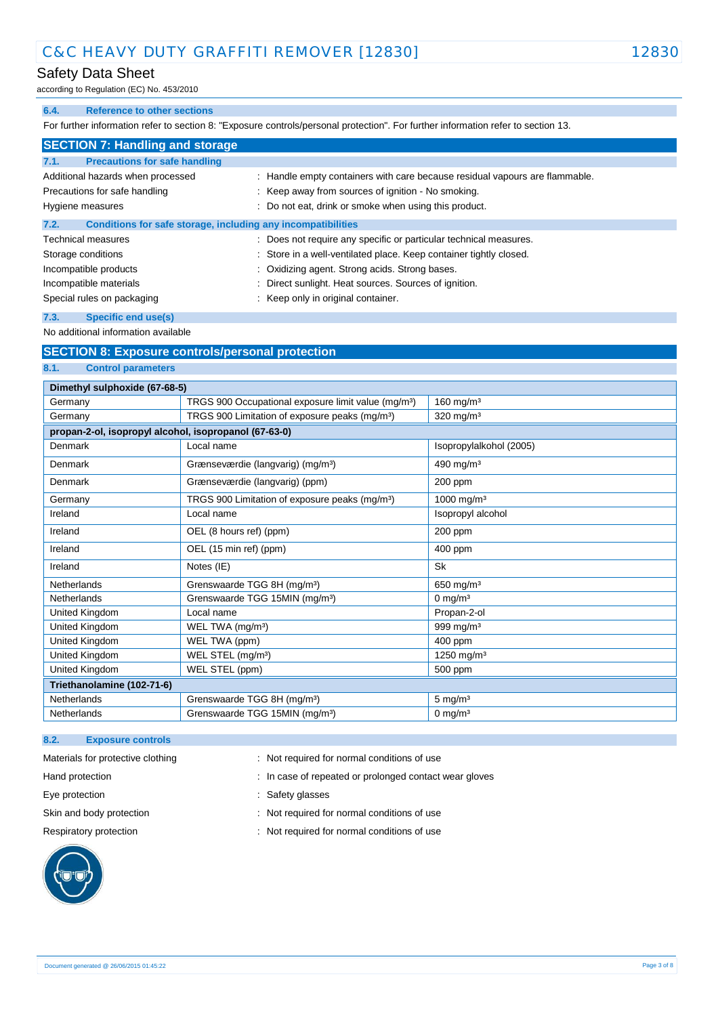# Safety Data Sheet

according to Regulation (EC) No. 453/2010

#### **6.4. Reference to other sections**

For further information refer to section 8: "Exposure controls/personal protection". For further information refer to section 13.

| <b>SECTION 7: Handling and storage</b> |                                                              |                                                                             |
|----------------------------------------|--------------------------------------------------------------|-----------------------------------------------------------------------------|
| 7.1.                                   | <b>Precautions for safe handling</b>                         |                                                                             |
| Additional hazards when processed      |                                                              | : Handle empty containers with care because residual vapours are flammable. |
|                                        | Precautions for safe handling                                | : Keep away from sources of ignition - No smoking.                          |
| Hygiene measures                       |                                                              | Do not eat, drink or smoke when using this product.                         |
| 7.2.                                   | Conditions for safe storage, including any incompatibilities |                                                                             |
|                                        | <b>Technical measures</b>                                    | : Does not require any specific or particular technical measures.           |
| Storage conditions                     |                                                              | : Store in a well-ventilated place. Keep container tightly closed.          |
| Incompatible products                  |                                                              | : Oxidizing agent. Strong acids. Strong bases.                              |
| Incompatible materials                 |                                                              | Direct sunlight. Heat sources. Sources of ignition.                         |
| Special rules on packaging             |                                                              | Keep only in original container.                                            |
| 7.3.                                   | Specific end use(s)                                          |                                                                             |

No additional information available

### **SECTION 8: Exposure controls/personal protection**

#### **8.1. Control parameters**

| Dimethyl sulphoxide (67-68-5)                         |                                                                 |                         |
|-------------------------------------------------------|-----------------------------------------------------------------|-------------------------|
| Germany                                               | TRGS 900 Occupational exposure limit value (mg/m <sup>3</sup> ) | 160 mg/m $3$            |
| Germany                                               | TRGS 900 Limitation of exposure peaks (mg/m <sup>3</sup> )      | 320 mg/m <sup>3</sup>   |
| propan-2-ol, isopropyl alcohol, isopropanol (67-63-0) |                                                                 |                         |
| Denmark                                               | Local name                                                      | Isopropylalkohol (2005) |
| Denmark                                               | Grænseværdie (langvarig) (mg/m <sup>3</sup> )                   | 490 mg/m $3$            |
| Denmark                                               | Grænseværdie (langvarig) (ppm)                                  | 200 ppm                 |
| Germany                                               | TRGS 900 Limitation of exposure peaks (mg/m <sup>3</sup> )      | 1000 mg/m <sup>3</sup>  |
| Ireland                                               | Local name                                                      | Isopropyl alcohol       |
| Ireland                                               | OEL (8 hours ref) (ppm)                                         | 200 ppm                 |
| Ireland                                               | OEL (15 min ref) (ppm)                                          | 400 ppm                 |
| Ireland                                               | Notes (IE)                                                      | Sk                      |
| <b>Netherlands</b>                                    | Grenswaarde TGG 8H (mg/m <sup>3</sup> )                         | 650 mg/m $3$            |
| <b>Netherlands</b>                                    | Grenswaarde TGG 15MIN (mg/m <sup>3</sup> )                      | 0 mg/m $3$              |
| United Kingdom                                        | Local name                                                      | Propan-2-ol             |
| United Kingdom                                        | WEL TWA (mg/m <sup>3</sup> )                                    | 999 mg/m <sup>3</sup>   |
| United Kingdom                                        | WEL TWA (ppm)                                                   | 400 ppm                 |
| United Kingdom                                        | WEL STEL (mg/m <sup>3</sup> )                                   | 1250 mg/m <sup>3</sup>  |
| United Kingdom                                        | WEL STEL (ppm)                                                  | 500 ppm                 |
| Triethanolamine (102-71-6)                            |                                                                 |                         |
| Netherlands                                           | Grenswaarde TGG 8H (mg/m <sup>3</sup> )                         | $5 \text{ mg/m}^3$      |
| Netherlands                                           | Grenswaarde TGG 15MIN (mg/m <sup>3</sup> )                      | $0 \text{ mg/m}^3$      |

### **8.2. Exposure controls**



- Materials for protective clothing : Not required for normal conditions of use
- Hand protection **in the state of repeated or prolonged contact wear gloves**
- Eye protection **in the same of the set of the set of the set of the set of the set of the set of the set of the set of the set of the set of the set of the set of the set of the set of the set of the set of the set of the**
- Skin and body protection : Not required for normal conditions of use
- Respiratory protection **Respiratory** protection **in the conduct of the CO** is a Not required for normal conditions of use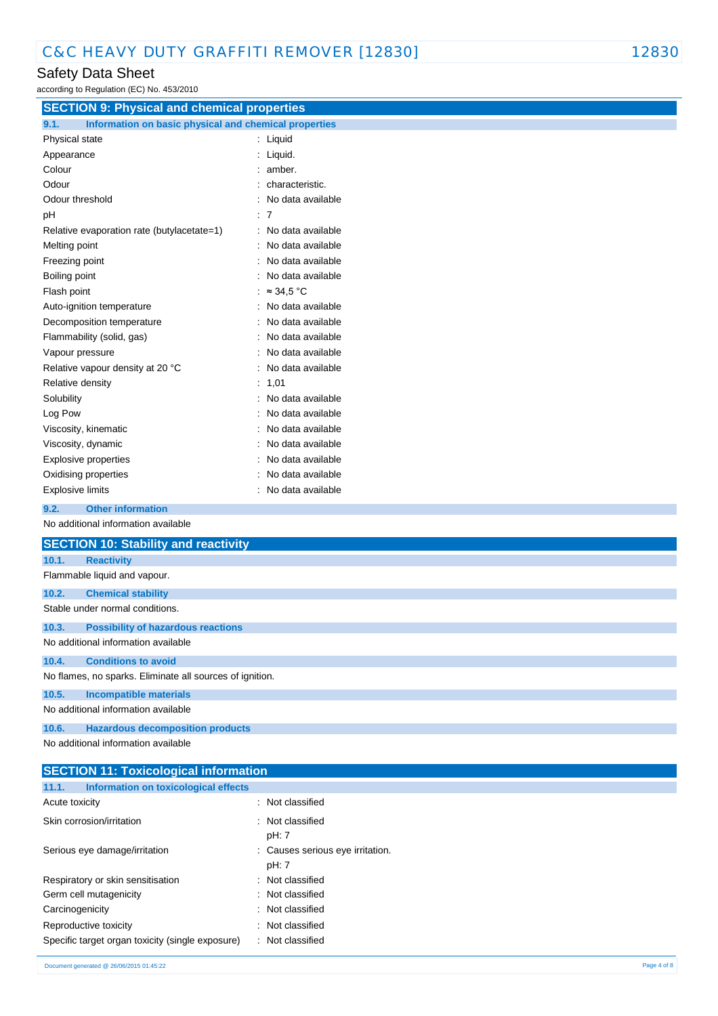# Safety Data Sheet

| according to Regulation (EC) No. 453/2010                     |                   |  |
|---------------------------------------------------------------|-------------------|--|
| <b>SECTION 9: Physical and chemical properties</b>            |                   |  |
| Information on basic physical and chemical properties<br>9.1. |                   |  |
| Physical state                                                | : Liquid          |  |
| Appearance                                                    | : Liquid.         |  |
| Colour                                                        | amber.            |  |
| Odour                                                         | characteristic.   |  |
| Odour threshold                                               | No data available |  |
| pH                                                            | : 7               |  |
| Relative evaporation rate (butylacetate=1)                    | No data available |  |
| Melting point                                                 | No data available |  |
| Freezing point                                                | No data available |  |
| Boiling point                                                 | No data available |  |
| Flash point                                                   | $\approx$ 34.5 °C |  |
| Auto-ignition temperature                                     | No data available |  |
| Decomposition temperature                                     | No data available |  |
| Flammability (solid, gas)                                     | No data available |  |
| Vapour pressure                                               | No data available |  |
| Relative vapour density at 20 °C                              | No data available |  |
| Relative density                                              | 1,01<br>÷         |  |
| Solubility                                                    | No data available |  |
| Log Pow                                                       | No data available |  |
| Viscosity, kinematic                                          | No data available |  |
| Viscosity, dynamic                                            | No data available |  |
| Explosive properties                                          | No data available |  |
| Oxidising properties                                          | No data available |  |
| <b>Explosive limits</b>                                       | No data available |  |
| <b>Other information</b><br>9.2.                              |                   |  |
| No additional information available                           |                   |  |
| <b>SECTION 10: Stability and reactivity</b>                   |                   |  |
| 10.1.<br><b>Reactivity</b>                                    |                   |  |
| Flammable liquid and vapour.                                  |                   |  |
| 10.2.<br><b>Chemical stability</b>                            |                   |  |
| Stable under normal conditions.                               |                   |  |
| 10.3.<br><b>Possibility of hazardous reactions</b>            |                   |  |
| No additional information available                           |                   |  |
| 10.4.<br><b>Conditions to avoid</b>                           |                   |  |
| No flames, no sparks. Eliminate all sources of ignition.      |                   |  |
| 10.5.<br><b>Incompatible materials</b>                        |                   |  |
| No additional information available                           |                   |  |
| <b>Hazardous decomposition products</b><br>10.6.              |                   |  |
| No additional information available                           |                   |  |
|                                                               |                   |  |

| <b>SECTION 11: Toxicological information</b>     |                                           |  |
|--------------------------------------------------|-------------------------------------------|--|
| Information on toxicological effects<br>11.1.    |                                           |  |
| Acute toxicity                                   | : Not classified                          |  |
| Skin corrosion/irritation                        | : Not classified<br>pH: 7                 |  |
| Serious eye damage/irritation                    | : Causes serious eye irritation.<br>pH: 7 |  |
| Respiratory or skin sensitisation                | : Not classified                          |  |
| Germ cell mutagenicity                           | : Not classified                          |  |
| Carcinogenicity                                  | : Not classified                          |  |
| Reproductive toxicity                            | : Not classified                          |  |
| Specific target organ toxicity (single exposure) | : Not classified                          |  |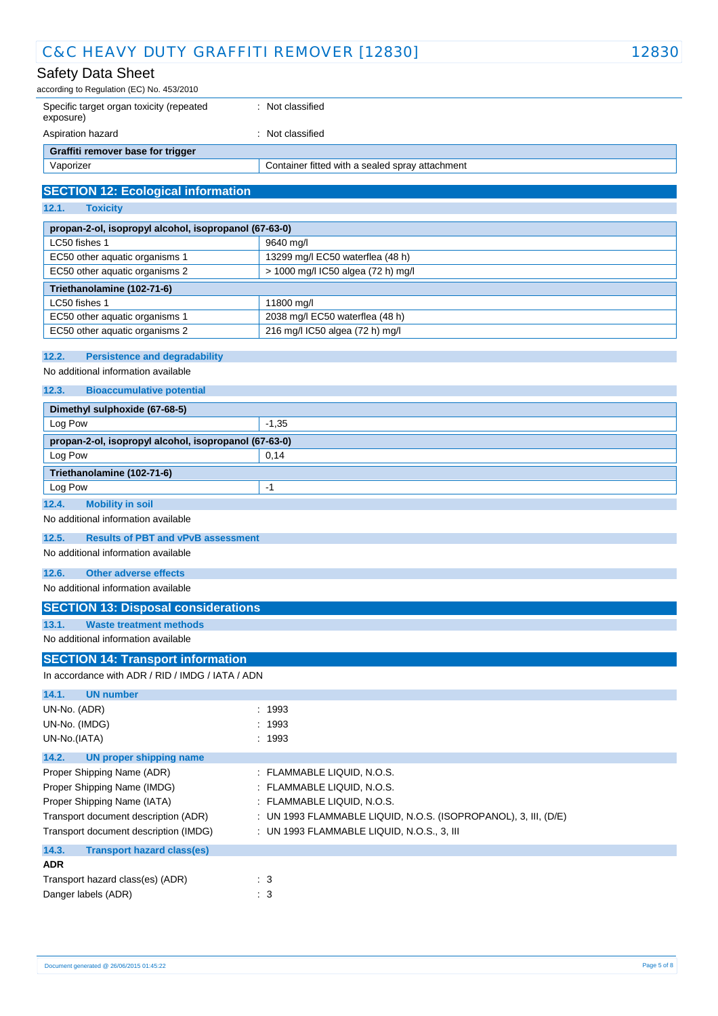# Safety Data Sheet

| according to Regulation (EC) No. 453/2010             |                                                 |  |
|-------------------------------------------------------|-------------------------------------------------|--|
| Specific target organ toxicity (repeated<br>exposure) | Not classified                                  |  |
| Aspiration hazard                                     | Not classified                                  |  |
| Graffiti remover base for trigger                     |                                                 |  |
| Vaporizer                                             | Container fitted with a sealed spray attachment |  |

# **SECTION 12: Ecological information**

**12.1. Toxicity**

| propan-2-ol, isopropyl alcohol, isopropanol (67-63-0)             |                                    |  |
|-------------------------------------------------------------------|------------------------------------|--|
| LC50 fishes 1                                                     | 9640 mg/l                          |  |
| EC50 other aquatic organisms 1                                    | 13299 mg/l EC50 waterflea (48 h)   |  |
| EC50 other aquatic organisms 2                                    | > 1000 mg/l IC50 algea (72 h) mg/l |  |
| Triethanolamine (102-71-6)                                        |                                    |  |
| LC50 fishes 1                                                     | 11800 mg/l                         |  |
| EC50 other aquatic organisms 1                                    | 2038 mg/l EC50 waterflea (48 h)    |  |
| EC50 other aquatic organisms 2<br>216 mg/l IC50 algea (72 h) mg/l |                                    |  |

#### **12.2. Persistence and degradability**

No additional information available

### **12.3. Bioaccumulative potential**

| Dimethyl sulphoxide (67-68-5)                         |         |  |
|-------------------------------------------------------|---------|--|
| Log Pow                                               | $-1,35$ |  |
| propan-2-ol, isopropyl alcohol, isopropanol (67-63-0) |         |  |
| Log Pow                                               | 0,14    |  |
| Triethanolamine (102-71-6)                            |         |  |
| Log Pow<br>-1                                         |         |  |
| 12.4.<br><b>Mobility in soil</b>                      |         |  |

No additional information available

#### **12.5. Results of PBT and vPvB assessment**

No additional information available

### **12.6. Other adverse effects**

No additional information available

### **SECTION 13: Disposal considerations**

**13.1. Waste treatment methods**

No additional information available

# **SECTION 14: Transport information**

In accordance with ADR / RID / IMDG / IATA / ADN

| <b>UN number</b><br>14.1.                  |                                                                   |
|--------------------------------------------|-------------------------------------------------------------------|
| UN-No. (ADR)                               | : 1993                                                            |
| UN-No. (IMDG)                              | : 1993                                                            |
| UN-No.(IATA)                               | : 1993                                                            |
| 14.2.<br>UN proper shipping name           |                                                                   |
| Proper Shipping Name (ADR)                 | : FLAMMABLE LIQUID, N.O.S.                                        |
| Proper Shipping Name (IMDG)                | : FLAMMABLE LIQUID, N.O.S.                                        |
| Proper Shipping Name (IATA)                | : FLAMMABLE LIQUID, N.O.S.                                        |
| Transport document description (ADR)       | : UN 1993 FLAMMABLE LIQUID, N.O.S. (ISOPROPANOL), 3, III, $(D/E)$ |
| Transport document description (IMDG)      | : UN 1993 FLAMMABLE LIQUID, N.O.S., 3, III                        |
| 14.3.<br><b>Transport hazard class(es)</b> |                                                                   |
| <b>ADR</b>                                 |                                                                   |
| Transport hazard class(es) (ADR)           | $\therefore$ 3                                                    |
| Danger labels (ADR)                        | $\therefore$ 3                                                    |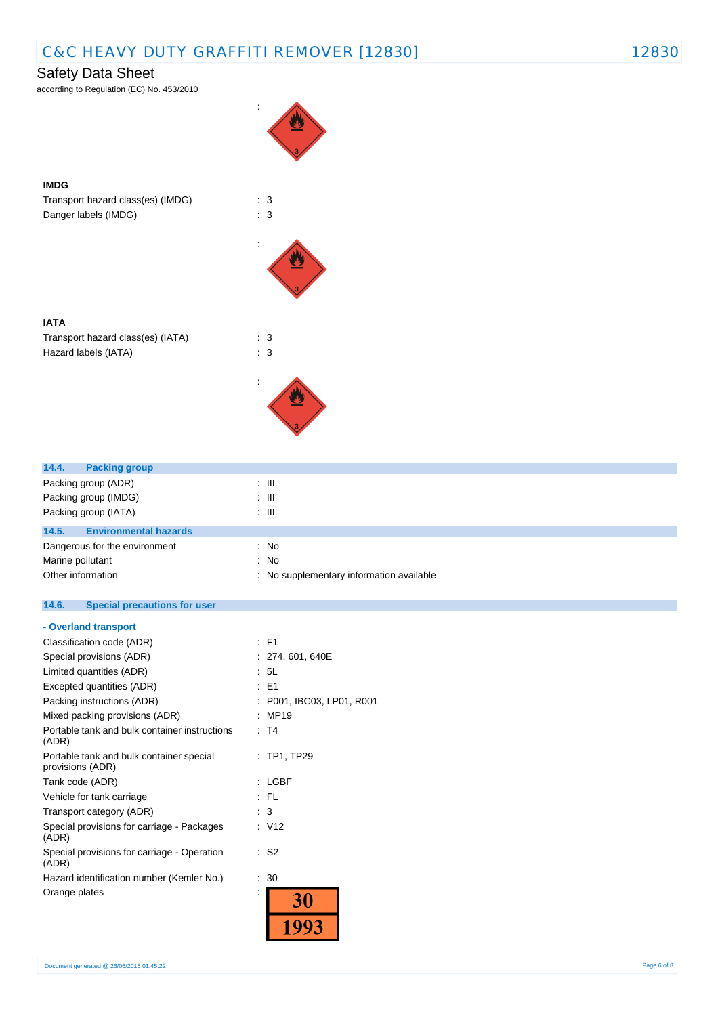# Safety Data Sheet

according to Regulation (EC) No. 453/2010



### **IATA**

**IMDG**

Transport hazard class(es) (IATA) : 3 Hazard labels (IATA) : 3



| 14.4.<br><b>Packing group</b>         |                                          |
|---------------------------------------|------------------------------------------|
| Packing group (ADR)                   | ÷ III.                                   |
| Packing group (IMDG)                  | ÷ III.                                   |
| Packing group (IATA)                  | ÷ III.                                   |
| 14.5.<br><b>Environmental hazards</b> |                                          |
| Dangerous for the environment         | : No                                     |
| Marine pollutant                      | : No                                     |
| Other information                     | : No supplementary information available |

#### $14.6.$ **14.6. Special precautions for user**

#### **- Overland transport**

| Classification code (ADR)                                    | : F1                    |
|--------------------------------------------------------------|-------------------------|
| Special provisions (ADR)                                     | : 274, 601, 640E        |
| Limited quantities (ADR)                                     | : 5L                    |
| Excepted quantities (ADR)                                    | : F1                    |
| Packing instructions (ADR)                                   | P001, IBC03, LP01, R001 |
| Mixed packing provisions (ADR)                               | MP19                    |
| Portable tank and bulk container instructions<br>(ADR)       | : T4                    |
| Portable tank and bulk container special<br>provisions (ADR) | $:$ TP1, TP29           |
| Tank code (ADR)                                              | : LGBF                  |
| Vehicle for tank carriage                                    | : FL                    |
| Transport category (ADR)                                     | 3                       |
| Special provisions for carriage - Packages<br>(ADR)          | : V12                   |
| Special provisions for carriage - Operation<br>(ADR)         | : S2                    |
| Hazard identification number (Kemler No.)                    | 30                      |
| Orange plates                                                |                         |
|                                                              |                         |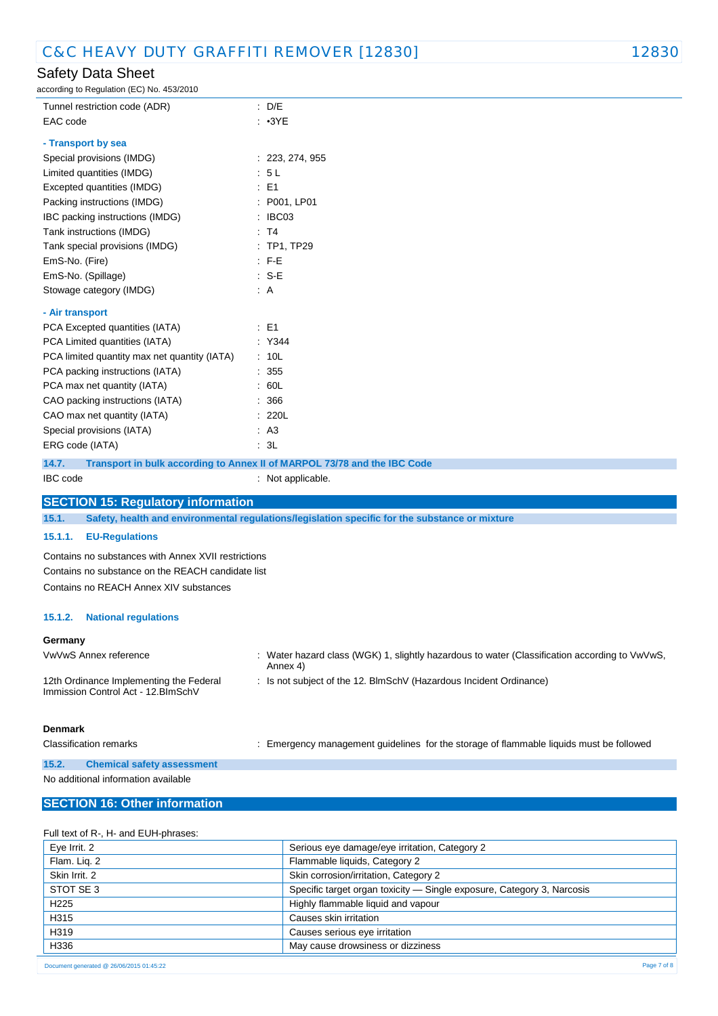# Safety Data Sheet

according to Regulation (EC) No. 453/2010

| ccording to Regulation (EC) No. 453/2010     |                                                                          |
|----------------------------------------------|--------------------------------------------------------------------------|
| Tunnel restriction code (ADR)                | : D/E                                                                    |
| EAC code                                     | $: \cdot3YE$                                                             |
| - Transport by sea                           |                                                                          |
| Special provisions (IMDG)                    | : 223, 274, 955                                                          |
| Limited quantities (IMDG)                    | : 5L                                                                     |
| Excepted quantities (IMDG)                   | $\therefore$ E1                                                          |
| Packing instructions (IMDG)                  | : P001, LP01                                                             |
| IBC packing instructions (IMDG)              | : IBC03                                                                  |
| Tank instructions (IMDG)                     | : T4                                                                     |
| Tank special provisions (IMDG)               | : TP1, TP29                                                              |
| EmS-No. (Fire)                               | $E - F - E$                                                              |
| EmS-No. (Spillage)                           | $: S-E$                                                                  |
| Stowage category (IMDG)                      | : A                                                                      |
| - Air transport                              |                                                                          |
| PCA Excepted quantities (IATA)               | $\therefore$ E1                                                          |
| PCA Limited quantities (IATA)                | : Y344                                                                   |
| PCA limited quantity max net quantity (IATA) | : 10L                                                                    |
| PCA packing instructions (IATA)              | : 355                                                                    |
| PCA max net quantity (IATA)                  | : 60L                                                                    |
| CAO packing instructions (IATA)              | : 366                                                                    |
| CAO max net quantity (IATA)                  | : 220L                                                                   |
| Special provisions (IATA)                    | AA3                                                                      |
| ERG code (IATA)                              | : 3L                                                                     |
| 14.7.                                        | Transport in bulk according to Annex II of MARPOL 73/78 and the IBC Code |
| <b>IBC</b> code                              | : Not applicable.                                                        |

### **SECTION 15: Regulatory information**

**15.1. Safety, health and environmental regulations/legislation specific for the substance or mixture**

#### **15.1.1. EU-Regulations**

Contains no substances with Annex XVII restrictions Contains no substance on the REACH candidate list Contains no REACH Annex XIV substances

#### **15.1.2. National regulations**

#### **Germany**

| VwVwS Annex reference                                                          | : Water hazard class (WGK) 1, slightly hazardous to water (Classification according to VwVwS,<br>Annex 4) |
|--------------------------------------------------------------------------------|-----------------------------------------------------------------------------------------------------------|
| 12th Ordinance Implementing the Federal<br>Immission Control Act - 12. BlmSchV | : Is not subject of the 12. BlmSchV (Hazardous Incident Ordinance)                                        |
|                                                                                |                                                                                                           |

# **Denmark**

Classification remarks **interpretent in the storagement** guidelines for the storage of flammable liquids must be followed

#### **15.2. Chemical safety assessment** No additional information available

### **SECTION 16: Other information**

| Full text of R-, H- and EUH-phrases: |                                                                        |
|--------------------------------------|------------------------------------------------------------------------|
| Eye Irrit. 2                         | Serious eye damage/eye irritation, Category 2                          |
| Flam. Lig. 2                         | Flammable liquids, Category 2                                          |
| Skin Irrit. 2                        | Skin corrosion/irritation, Category 2                                  |
| STOT SE 3                            | Specific target organ toxicity - Single exposure, Category 3, Narcosis |
| H <sub>225</sub>                     | Highly flammable liquid and vapour                                     |
| H315                                 | Causes skin irritation                                                 |
| H319                                 | Causes serious eye irritation                                          |
| H336                                 | May cause drowsiness or dizziness                                      |